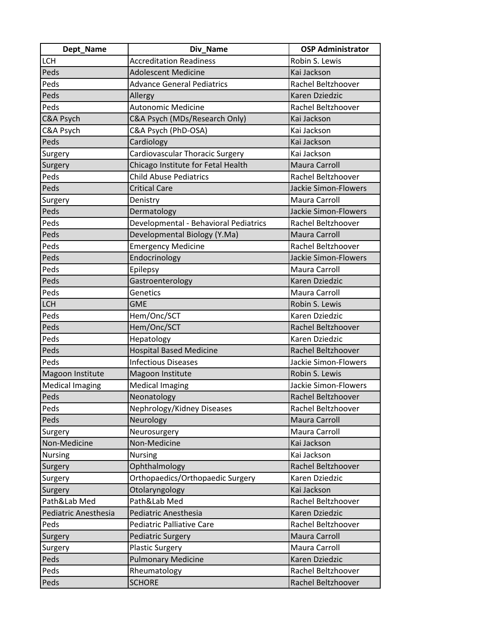| Dept_Name              | Div_Name                              | <b>OSP Administrator</b>    |
|------------------------|---------------------------------------|-----------------------------|
| LCH                    | <b>Accreditation Readiness</b>        | Robin S. Lewis              |
| Peds                   | <b>Adolescent Medicine</b>            | Kai Jackson                 |
| Peds                   | <b>Advance General Pediatrics</b>     | Rachel Beltzhoover          |
| Peds                   | Allergy                               | Karen Dziedzic              |
| Peds                   | <b>Autonomic Medicine</b>             | Rachel Beltzhoover          |
| <b>C&amp;A Psych</b>   | C&A Psych (MDs/Research Only)         | Kai Jackson                 |
| C&A Psych              | C&A Psych (PhD-OSA)                   | Kai Jackson                 |
| Peds                   | Cardiology                            | Kai Jackson                 |
| Surgery                | Cardiovascular Thoracic Surgery       | Kai Jackson                 |
| Surgery                | Chicago Institute for Fetal Health    | Maura Carroll               |
| Peds                   | <b>Child Abuse Pediatrics</b>         | Rachel Beltzhoover          |
| Peds                   | <b>Critical Care</b>                  | <b>Jackie Simon-Flowers</b> |
| Surgery                | Denistry                              | <b>Maura Carroll</b>        |
| Peds                   | Dermatology                           | <b>Jackie Simon-Flowers</b> |
| Peds                   | Developmental - Behavioral Pediatrics | Rachel Beltzhoover          |
| Peds                   | Developmental Biology (Y.Ma)          | <b>Maura Carroll</b>        |
| Peds                   | <b>Emergency Medicine</b>             | Rachel Beltzhoover          |
| Peds                   | Endocrinology                         | Jackie Simon-Flowers        |
| Peds                   | Epilepsy                              | Maura Carroll               |
| Peds                   | Gastroenterology                      | Karen Dziedzic              |
| Peds                   | Genetics                              | Maura Carroll               |
| <b>LCH</b>             | <b>GME</b>                            | Robin S. Lewis              |
| Peds                   | Hem/Onc/SCT                           | Karen Dziedzic              |
| Peds                   | Hem/Onc/SCT                           | Rachel Beltzhoover          |
| Peds                   | Hepatology                            | Karen Dziedzic              |
| Peds                   | <b>Hospital Based Medicine</b>        | Rachel Beltzhoover          |
| Peds                   | <b>Infectious Diseases</b>            | Jackie Simon-Flowers        |
| Magoon Institute       | Magoon Institute                      | Robin S. Lewis              |
| <b>Medical Imaging</b> | <b>Medical Imaging</b>                | Jackie Simon-Flowers        |
| Peds                   | Neonatology                           | Rachel Beltzhoover          |
| Peds                   | Nephrology/Kidney Diseases            | Rachel Beltzhoover          |
| Peds                   | Neurology                             | Maura Carroll               |
| Surgery                | Neurosurgery                          | Maura Carroll               |
| Non-Medicine           | Non-Medicine                          | Kai Jackson                 |
| Nursing                | <b>Nursing</b>                        | Kai Jackson                 |
| Surgery                | Ophthalmology                         | Rachel Beltzhoover          |
| Surgery                | Orthopaedics/Orthopaedic Surgery      | Karen Dziedzic              |
| Surgery                | Otolaryngology                        | Kai Jackson                 |
| Path&Lab Med           | Path&Lab Med                          | Rachel Beltzhoover          |
| Pediatric Anesthesia   | Pediatric Anesthesia                  | Karen Dziedzic              |
| Peds                   | <b>Pediatric Palliative Care</b>      | Rachel Beltzhoover          |
| Surgery                | <b>Pediatric Surgery</b>              | Maura Carroll               |
| Surgery                | <b>Plastic Surgery</b>                | Maura Carroll               |
| Peds                   | <b>Pulmonary Medicine</b>             | Karen Dziedzic              |
| Peds                   | Rheumatology                          | Rachel Beltzhoover          |
| Peds                   | <b>SCHORE</b>                         | Rachel Beltzhoover          |